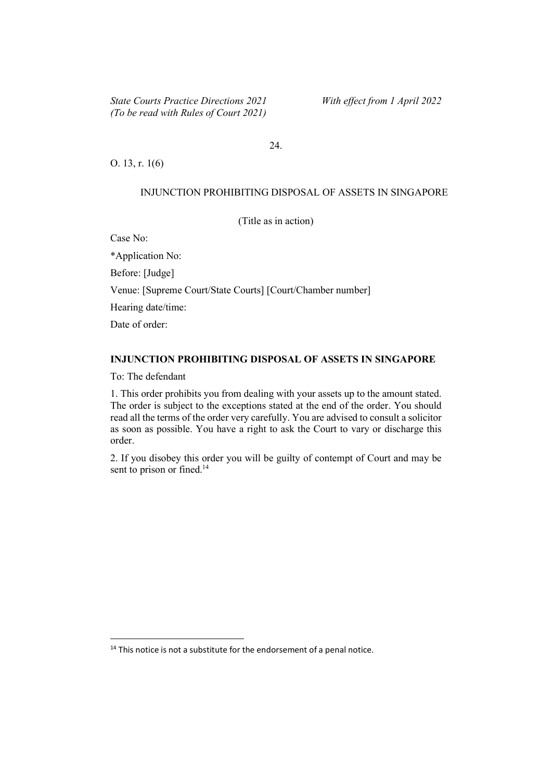24.

O. 13, r. 1(6)

#### INJUNCTION PROHIBITING DISPOSAL OF ASSETS IN SINGAPORE

(Title as in action)

Case No:

\*Application No: Before: [Judge] Venue: [Supreme Court/State Courts] [Court/Chamber number] Hearing date/time: Date of order:

# INJUNCTION PROHIBITING DISPOSAL OF ASSETS IN SINGAPORE

To: The defendant

1. This order prohibits you from dealing with your assets up to the amount stated. The order is subject to the exceptions stated at the end of the order. You should read all the terms of the order very carefully. You are advised to consult a solicitor as soon as possible. You have a right to ask the Court to vary or discharge this order.

2. If you disobey this order you will be guilty of contempt of Court and may be sent to prison or fined.<sup>14</sup>

 $14$  This notice is not a substitute for the endorsement of a penal notice.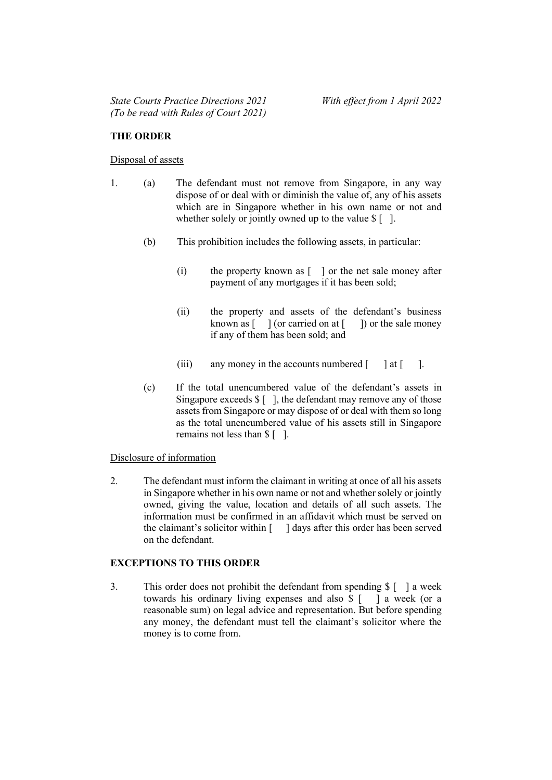## THE ORDER

#### Disposal of assets

- 1. (a) The defendant must not remove from Singapore, in any way dispose of or deal with or diminish the value of, any of his assets which are in Singapore whether in his own name or not and whether solely or jointly owned up to the value  $$ \lceil \rceil$ .
	- (b) This prohibition includes the following assets, in particular:
		- (i) the property known as [ ] or the net sale money after payment of any mortgages if it has been sold;
		- (ii) the property and assets of the defendant's business known as  $\lceil \quad \rceil$  (or carried on at  $\lceil \quad \rceil$ ) or the sale money if any of them has been sold; and
		- (iii) any money in the accounts numbered  $\lceil \quad \rceil$  at  $\lceil \quad \rceil$ .
	- (c) If the total unencumbered value of the defendant's assets in Singapore exceeds  $\{\ ]$ , the defendant may remove any of those assets from Singapore or may dispose of or deal with them so long as the total unencumbered value of his assets still in Singapore remains not less than \$ [ ].

#### Disclosure of information

2. The defendant must inform the claimant in writing at once of all his assets in Singapore whether in his own name or not and whether solely or jointly owned, giving the value, location and details of all such assets. The information must be confirmed in an affidavit which must be served on the claimant's solicitor within  $\lceil \quad \rceil$  days after this order has been served on the defendant.

## EXCEPTIONS TO THIS ORDER

3. This order does not prohibit the defendant from spending \$ [ ] a week towards his ordinary living expenses and also \$ [ ] a week (or a reasonable sum) on legal advice and representation. But before spending any money, the defendant must tell the claimant's solicitor where the money is to come from.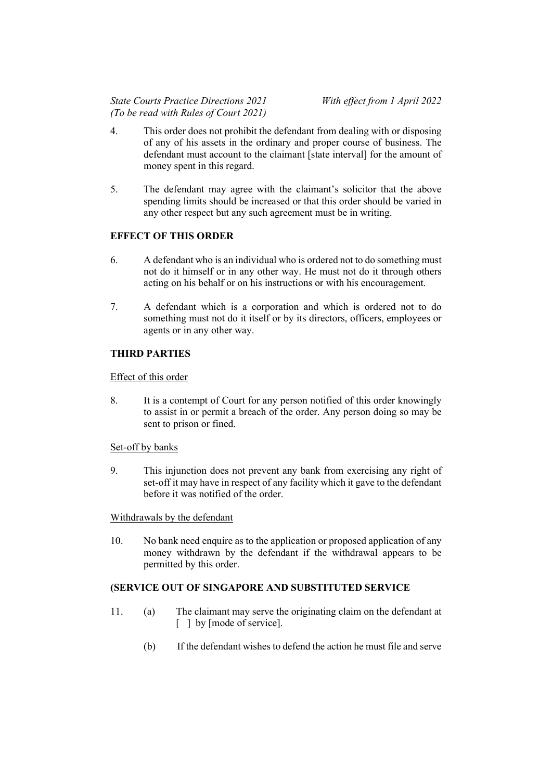- 4. This order does not prohibit the defendant from dealing with or disposing of any of his assets in the ordinary and proper course of business. The defendant must account to the claimant [state interval] for the amount of money spent in this regard.
- 5. The defendant may agree with the claimant's solicitor that the above spending limits should be increased or that this order should be varied in any other respect but any such agreement must be in writing.

# EFFECT OF THIS ORDER

- 6. A defendant who is an individual who is ordered not to do something must not do it himself or in any other way. He must not do it through others acting on his behalf or on his instructions or with his encouragement.
- 7. A defendant which is a corporation and which is ordered not to do something must not do it itself or by its directors, officers, employees or agents or in any other way.

# THIRD PARTIES

## Effect of this order

8. It is a contempt of Court for any person notified of this order knowingly to assist in or permit a breach of the order. Any person doing so may be sent to prison or fined.

## Set-off by banks

9. This injunction does not prevent any bank from exercising any right of set-off it may have in respect of any facility which it gave to the defendant before it was notified of the order.

Withdrawals by the defendant

10. No bank need enquire as to the application or proposed application of any money withdrawn by the defendant if the withdrawal appears to be permitted by this order.

## (SERVICE OUT OF SINGAPORE AND SUBSTITUTED SERVICE

- 11. (a) The claimant may serve the originating claim on the defendant at [ ] by [mode of service].
	- (b) If the defendant wishes to defend the action he must file and serve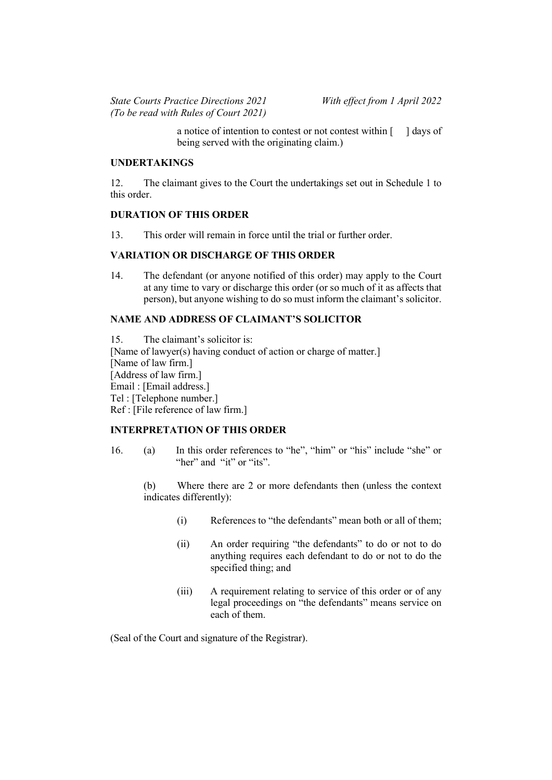a notice of intention to contest or not contest within [ ] days of being served with the originating claim.)

## UNDERTAKINGS

12. The claimant gives to the Court the undertakings set out in Schedule 1 to this order.

#### DURATION OF THIS ORDER

13. This order will remain in force until the trial or further order.

#### VARIATION OR DISCHARGE OF THIS ORDER

14. The defendant (or anyone notified of this order) may apply to the Court at any time to vary or discharge this order (or so much of it as affects that person), but anyone wishing to do so must inform the claimant's solicitor.

# NAME AND ADDRESS OF CLAIMANT'S SOLICITOR

15. The claimant's solicitor is: [Name of lawyer(s) having conduct of action or charge of matter.] [Name of law firm.] [Address of law firm.] Email : [Email address.] Tel : [Telephone number.] Ref : [File reference of law firm.]

## INTERPRETATION OF THIS ORDER

- 16. (a) In this order references to "he", "him" or "his" include "she" or "her" and "it" or "its".
	- (b) Where there are 2 or more defendants then (unless the context indicates differently):
		- (i) References to "the defendants" mean both or all of them;
		- (ii) An order requiring "the defendants" to do or not to do anything requires each defendant to do or not to do the specified thing; and
		- (iii) A requirement relating to service of this order or of any legal proceedings on "the defendants" means service on each of them.

(Seal of the Court and signature of the Registrar).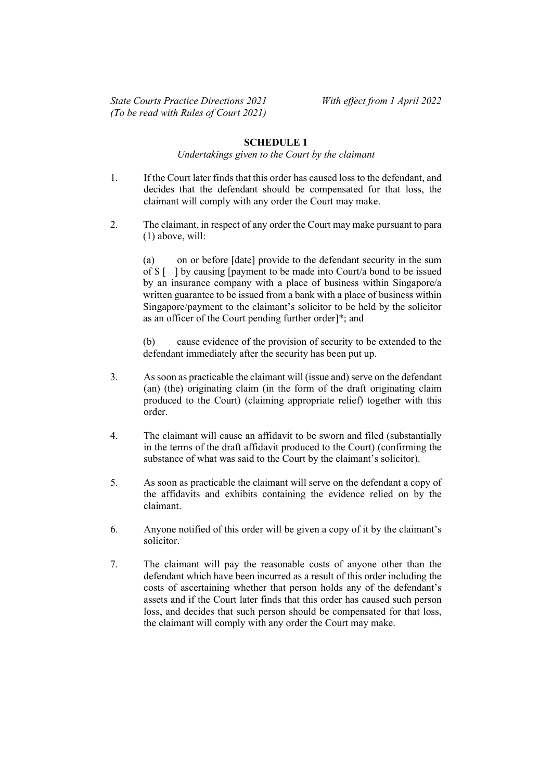## SCHEDULE 1

#### Undertakings given to the Court by the claimant

- 1. If the Court later finds that this order has caused loss to the defendant, and decides that the defendant should be compensated for that loss, the claimant will comply with any order the Court may make.
- 2. The claimant, in respect of any order the Court may make pursuant to para (1) above, will:

(a) on or before [date] provide to the defendant security in the sum of \$ [ ] by causing [payment to be made into Court/a bond to be issued by an insurance company with a place of business within Singapore/a written guarantee to be issued from a bank with a place of business within Singapore/payment to the claimant's solicitor to be held by the solicitor as an officer of the Court pending further order]\*; and

(b) cause evidence of the provision of security to be extended to the defendant immediately after the security has been put up.

- 3. As soon as practicable the claimant will (issue and) serve on the defendant (an) (the) originating claim (in the form of the draft originating claim produced to the Court) (claiming appropriate relief) together with this order.
- 4. The claimant will cause an affidavit to be sworn and filed (substantially in the terms of the draft affidavit produced to the Court) (confirming the substance of what was said to the Court by the claimant's solicitor).
- 5. As soon as practicable the claimant will serve on the defendant a copy of the affidavits and exhibits containing the evidence relied on by the claimant.
- 6. Anyone notified of this order will be given a copy of it by the claimant's solicitor.
- 7. The claimant will pay the reasonable costs of anyone other than the defendant which have been incurred as a result of this order including the costs of ascertaining whether that person holds any of the defendant's assets and if the Court later finds that this order has caused such person loss, and decides that such person should be compensated for that loss, the claimant will comply with any order the Court may make.